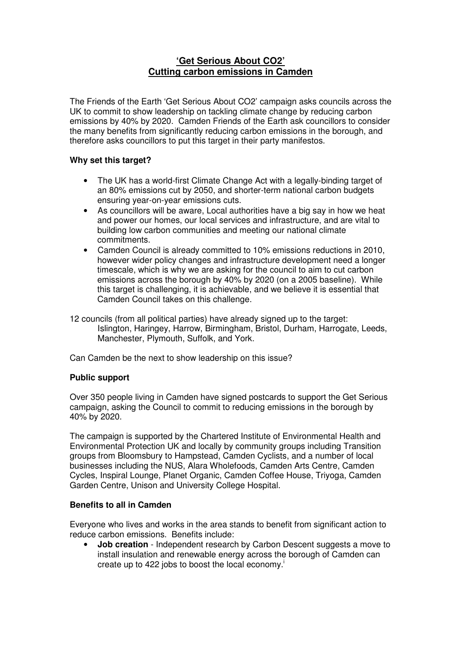# **'Get Serious About CO2' Cutting carbon emissions in Camden**

The Friends of the Earth 'Get Serious About CO2' campaign asks councils across the UK to commit to show leadership on tackling climate change by reducing carbon emissions by 40% by 2020.Camden Friends of the Earth ask councillors to consider the many benefits from significantly reducing carbon emissions in the borough, and therefore asks councillors to put this target in their party manifestos.

## **Why set this target?**

- The UK has a world-first Climate Change Act with a legally-binding target of an 80% emissions cut by 2050, and shorter-term national carbon budgets ensuring year-on-year emissions cuts.
- As councillors will be aware, Local authorities have a big say in how we heat and power our homes, our local services and infrastructure, and are vital to building low carbon communities and meeting our national climate commitments.
- Camden Council is already committed to 10% emissions reductions in 2010, however wider policy changes and infrastructure development need a longer timescale, which is why we are asking for the council to aim to cut carbon emissions across the borough by 40% by 2020 (on a 2005 baseline). While this target is challenging, it is achievable, and we believe it is essential that Camden Council takes on this challenge.
- 12 councils (from all political parties) have already signed up to the target: Islington, Haringey, Harrow, Birmingham, Bristol, Durham, Harrogate, Leeds, Manchester, Plymouth, Suffolk, and York.

Can Camden be the next to show leadership on this issue?

## **Public support**

Over 350 people living in Camden have signed postcards to support the Get Serious campaign, asking the Council to commit to reducing emissions in the borough by 40% by 2020.

The campaign is supported by the Chartered Institute of Environmental Health and Environmental Protection UK and locally by community groups including Transition groups from Bloomsbury to Hampstead, Camden Cyclists, and a number of local businesses including the NUS, Alara Wholefoods, Camden Arts Centre, Camden Cycles, Inspiral Lounge, Planet Organic, Camden Coffee House, Triyoga, Camden Garden Centre, Unison and University College Hospital.

## **Benefits to all in Camden**

Everyone who lives and works in the area stands to benefit from significant action to reduce carbon emissions. Benefits include:

**Job creation** - Independent research by Carbon Descent suggests a move to install insulation and renewable energy across the borough of Camden can create up to 422 jobs to boost the local economy.<sup> $\dot{ }$ </sup>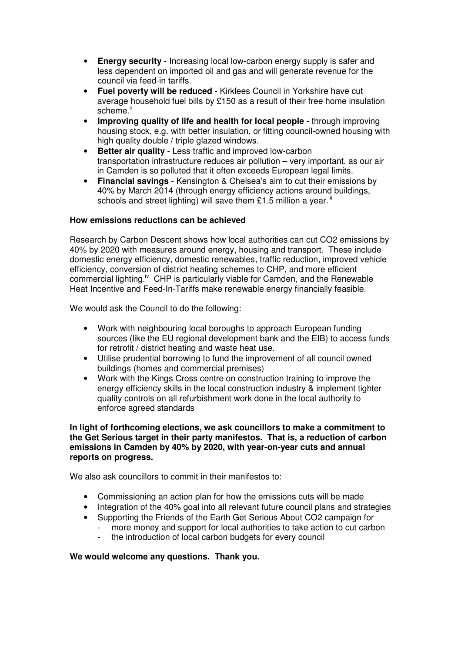- **Energy security** Increasing local low-carbon energy supply is safer and less dependent on imported oil and gas and will generate revenue for the council via feed-in tariffs.
- **Fuel poverty will be reduced** Kirklees Council in Yorkshire have cut average household fuel bills by £150 as a result of their free home insulation scheme.<sup>ii</sup>
- **Improving quality of life and health for local people -** through improving housing stock, e.g. with better insulation, or fitting council-owned housing with high quality double / triple glazed windows.
- **Better air quality**  Less traffic and improved low-carbon transportation infrastructure reduces air pollution – very important, as our air in Camden is so polluted that it often exceeds European legal limits.
- **Financial savings**  Kensington & Chelsea's aim to cut their emissions by 40% by March 2014 (through energy efficiency actions around buildings, schools and street lighting) will save them £1.5 million a year.<sup>iii</sup>

## **How emissions reductions can be achieved**

Research by Carbon Descent shows how local authorities can cut CO2 emissions by 40% by 2020 with measures around energy, housing and transport. These include domestic energy efficiency, domestic renewables, traffic reduction, improved vehicle efficiency, conversion of district heating schemes to CHP, and more efficient commercial lighting.<sup>iv</sup> CHP is particularly viable for Camden, and the Renewable Heat Incentive and Feed-In-Tariffs make renewable energy financially feasible.

We would ask the Council to do the following:

- Work with neighbouring local boroughs to approach European funding sources (like the EU regional development bank and the EIB) to access funds for retrofit / district heating and waste heat use.
- Utilise prudential borrowing to fund the improvement of all council owned buildings (homes and commercial premises)
- Work with the Kings Cross centre on construction training to improve the energy efficiency skills in the local construction industry & implement tighter quality controls on all refurbishment work done in the local authority to enforce agreed standards

#### **In light of forthcoming elections, we ask councillors to make a commitment to the Get Serious target in their party manifestos. That is, a reduction of carbon emissions in Camden by 40% by 2020, with year-on-year cuts and annual reports on progress.**

We also ask councillors to commit in their manifestos to:

- Commissioning an action plan for how the emissions cuts will be made
- Integration of the 40% goal into all relevant future council plans and strategies
- Supporting the Friends of the Earth Get Serious About CO2 campaign for more money and support for local authorities to take action to cut carbon
	- the introduction of local carbon budgets for every council

## **We would welcome any questions. Thank you.**